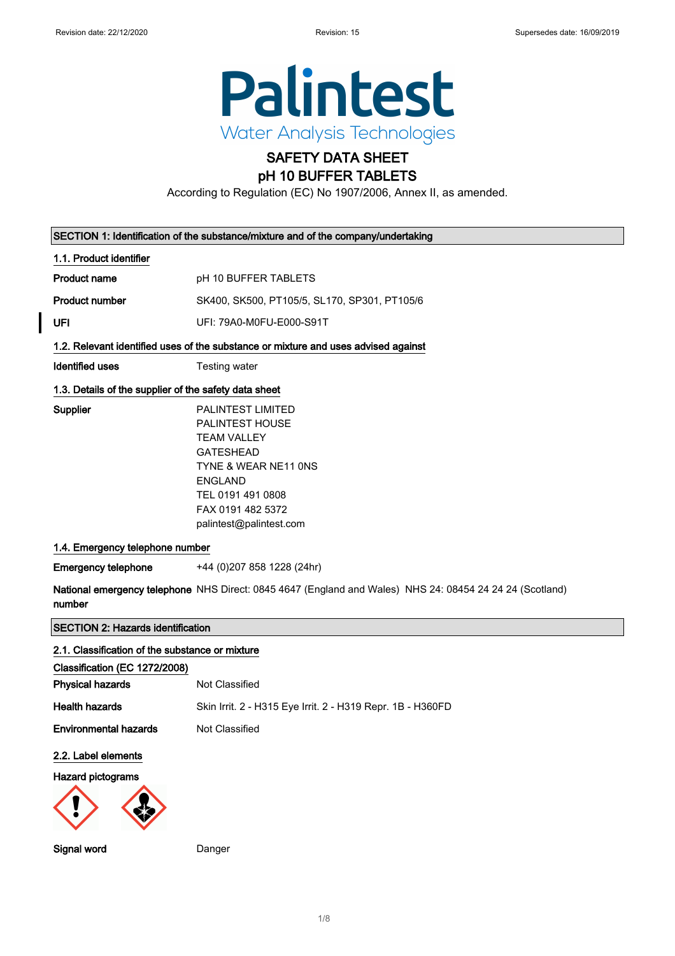

# SAFETY DATA SHEET

pH 10 BUFFER TABLETS

According to Regulation (EC) No 1907/2006, Annex II, as amended.

|                                                       | SECTION 1: Identification of the substance/mixture and of the company/undertaking                                                                                                                           |
|-------------------------------------------------------|-------------------------------------------------------------------------------------------------------------------------------------------------------------------------------------------------------------|
| 1.1. Product identifier                               |                                                                                                                                                                                                             |
| <b>Product name</b>                                   | pH 10 BUFFER TABLETS                                                                                                                                                                                        |
| <b>Product number</b>                                 | SK400, SK500, PT105/5, SL170, SP301, PT105/6                                                                                                                                                                |
| UFI                                                   | UFI: 79A0-M0FU-E000-S91T                                                                                                                                                                                    |
|                                                       | 1.2. Relevant identified uses of the substance or mixture and uses advised against                                                                                                                          |
| <b>Identified uses</b>                                | <b>Testing water</b>                                                                                                                                                                                        |
| 1.3. Details of the supplier of the safety data sheet |                                                                                                                                                                                                             |
| Supplier                                              | <b>PALINTEST LIMITED</b><br><b>PALINTEST HOUSE</b><br><b>TEAM VALLEY</b><br><b>GATESHEAD</b><br>TYNE & WEAR NE11 ONS<br><b>ENGLAND</b><br>TEL 0191 491 0808<br>FAX 0191 482 5372<br>palintest@palintest.com |
| 1.4. Emergency telephone number                       |                                                                                                                                                                                                             |
| <b>Emergency telephone</b>                            | +44 (0) 207 858 1228 (24hr)                                                                                                                                                                                 |
| number                                                | National emergency telephone NHS Direct: 0845 4647 (England and Wales) NHS 24: 08454 24 24 24 (Scotland)                                                                                                    |
| <b>SECTION 2: Hazards identification</b>              |                                                                                                                                                                                                             |
| 2.1. Classification of the substance or mixture       |                                                                                                                                                                                                             |
| Classification (EC 1272/2008)                         |                                                                                                                                                                                                             |
| <b>Physical hazards</b>                               | Not Classified                                                                                                                                                                                              |
| <b>Health hazards</b>                                 | Skin Irrit. 2 - H315 Eye Irrit. 2 - H319 Repr. 1B - H360FD                                                                                                                                                  |

# Environmental hazards Not Classified

2.2. Label elements

#### Hazard pictograms



Signal word Danger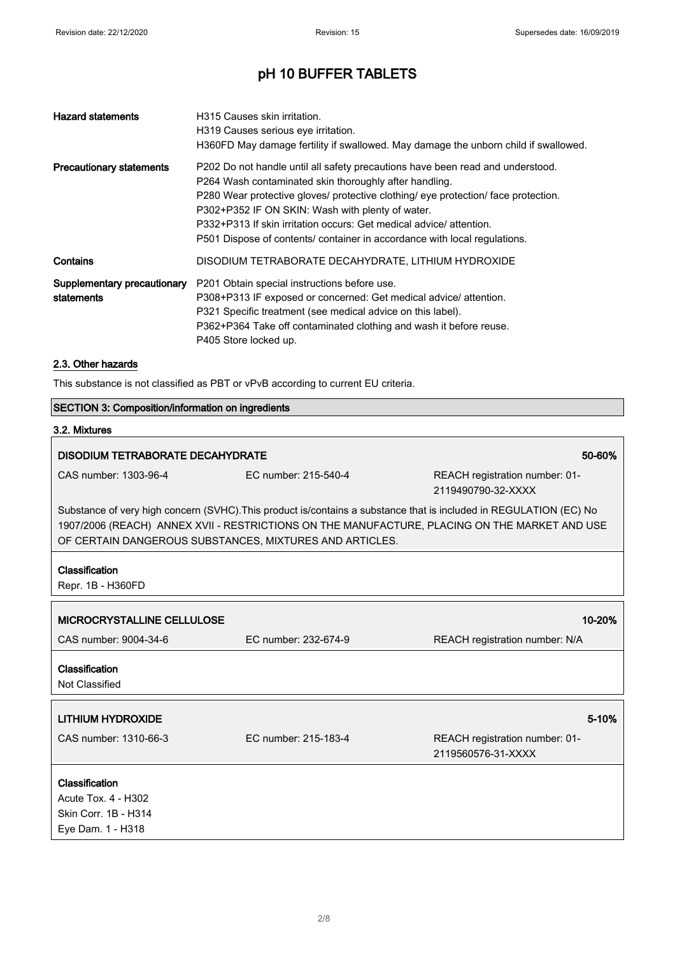| <b>Hazard statements</b>                  | H315 Causes skin irritation.<br>H319 Causes serious eye irritation.<br>H360FD May damage fertility if swallowed. May damage the unborn child if swallowed.                                                                                                                                                                                                                                                                            |
|-------------------------------------------|---------------------------------------------------------------------------------------------------------------------------------------------------------------------------------------------------------------------------------------------------------------------------------------------------------------------------------------------------------------------------------------------------------------------------------------|
| <b>Precautionary statements</b>           | P202 Do not handle until all safety precautions have been read and understood.<br>P264 Wash contaminated skin thoroughly after handling.<br>P280 Wear protective gloves/ protective clothing/ eye protection/ face protection.<br>P302+P352 IF ON SKIN: Wash with plenty of water.<br>P332+P313 If skin irritation occurs: Get medical advice/attention.<br>P501 Dispose of contents/ container in accordance with local regulations. |
| Contains                                  | DISODIUM TETRABORATE DECAHYDRATE, LITHIUM HYDROXIDE                                                                                                                                                                                                                                                                                                                                                                                   |
| Supplementary precautionary<br>statements | P201 Obtain special instructions before use.<br>P308+P313 IF exposed or concerned: Get medical advice/ attention.<br>P321 Specific treatment (see medical advice on this label).<br>P362+P364 Take off contaminated clothing and wash it before reuse.<br>P405 Store locked up.                                                                                                                                                       |

### 2.3. Other hazards

This substance is not classified as PBT or vPvB according to current EU criteria.

|                                                                                                                                                                                                                                                                                | <b>SECTION 3: Composition/information on ingredients</b> |                                                      |  |
|--------------------------------------------------------------------------------------------------------------------------------------------------------------------------------------------------------------------------------------------------------------------------------|----------------------------------------------------------|------------------------------------------------------|--|
| 3.2. Mixtures                                                                                                                                                                                                                                                                  |                                                          |                                                      |  |
| <b>DISODIUM TETRABORATE DECAHYDRATE</b>                                                                                                                                                                                                                                        |                                                          | 50-60%                                               |  |
| CAS number: 1303-96-4                                                                                                                                                                                                                                                          | EC number: 215-540-4                                     | REACH registration number: 01-<br>2119490790-32-XXXX |  |
| Substance of very high concern (SVHC). This product is/contains a substance that is included in REGULATION (EC) No<br>1907/2006 (REACH) ANNEX XVII - RESTRICTIONS ON THE MANUFACTURE, PLACING ON THE MARKET AND USE<br>OF CERTAIN DANGEROUS SUBSTANCES, MIXTURES AND ARTICLES. |                                                          |                                                      |  |
| Classification<br>Repr. 1B - H360FD                                                                                                                                                                                                                                            |                                                          |                                                      |  |
| <b>MICROCRYSTALLINE CELLULOSE</b>                                                                                                                                                                                                                                              |                                                          | 10-20%                                               |  |
| CAS number: 9004-34-6                                                                                                                                                                                                                                                          | EC number: 232-674-9                                     | REACH registration number: N/A                       |  |
| Classification<br>Not Classified                                                                                                                                                                                                                                               |                                                          |                                                      |  |
| <b>LITHIUM HYDROXIDE</b>                                                                                                                                                                                                                                                       |                                                          | 5-10%                                                |  |
| CAS number: 1310-66-3                                                                                                                                                                                                                                                          | EC number: 215-183-4                                     | REACH registration number: 01-<br>2119560576-31-XXXX |  |
| Classification                                                                                                                                                                                                                                                                 |                                                          |                                                      |  |
| <b>Acute Tox. 4 - H302</b>                                                                                                                                                                                                                                                     |                                                          |                                                      |  |
| Skin Corr. 1B - H314                                                                                                                                                                                                                                                           |                                                          |                                                      |  |
| Eye Dam. 1 - H318                                                                                                                                                                                                                                                              |                                                          |                                                      |  |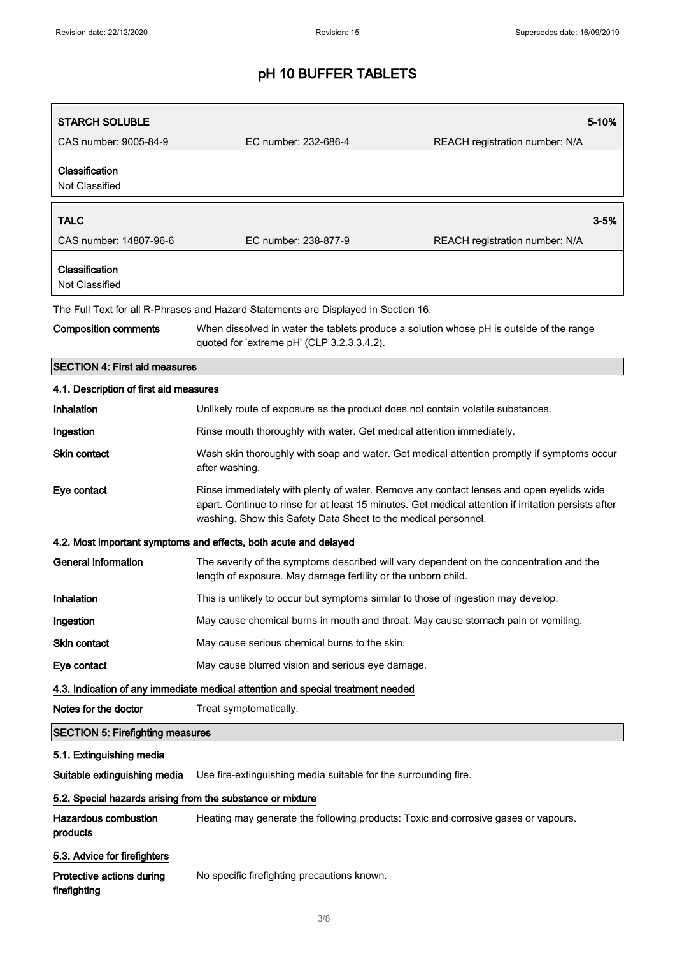| <b>STARCH SOLUBLE</b>                                                     |                                                                                                                                                                                                                                                                   | 5-10%                          |
|---------------------------------------------------------------------------|-------------------------------------------------------------------------------------------------------------------------------------------------------------------------------------------------------------------------------------------------------------------|--------------------------------|
| CAS number: 9005-84-9                                                     | EC number: 232-686-4                                                                                                                                                                                                                                              | REACH registration number: N/A |
| Classification<br>Not Classified                                          |                                                                                                                                                                                                                                                                   |                                |
| <b>TALC</b>                                                               |                                                                                                                                                                                                                                                                   | 3-5%                           |
| CAS number: 14807-96-6                                                    | EC number: 238-877-9                                                                                                                                                                                                                                              | REACH registration number: N/A |
| Classification<br>Not Classified                                          |                                                                                                                                                                                                                                                                   |                                |
|                                                                           | The Full Text for all R-Phrases and Hazard Statements are Displayed in Section 16.                                                                                                                                                                                |                                |
| <b>Composition comments</b>                                               | When dissolved in water the tablets produce a solution whose pH is outside of the range<br>quoted for 'extreme pH' (CLP 3.2.3.3.4.2).                                                                                                                             |                                |
| <b>SECTION 4: First aid measures</b>                                      |                                                                                                                                                                                                                                                                   |                                |
| 4.1. Description of first aid measures                                    |                                                                                                                                                                                                                                                                   |                                |
| Inhalation                                                                | Unlikely route of exposure as the product does not contain volatile substances.                                                                                                                                                                                   |                                |
| Ingestion                                                                 | Rinse mouth thoroughly with water. Get medical attention immediately.                                                                                                                                                                                             |                                |
| <b>Skin contact</b>                                                       | Wash skin thoroughly with soap and water. Get medical attention promptly if symptoms occur<br>after washing.                                                                                                                                                      |                                |
| Eye contact                                                               | Rinse immediately with plenty of water. Remove any contact lenses and open eyelids wide<br>apart. Continue to rinse for at least 15 minutes. Get medical attention if irritation persists after<br>washing. Show this Safety Data Sheet to the medical personnel. |                                |
|                                                                           | 4.2. Most important symptoms and effects, both acute and delayed                                                                                                                                                                                                  |                                |
| <b>General information</b>                                                | The severity of the symptoms described will vary dependent on the concentration and the<br>length of exposure. May damage fertility or the unborn child.                                                                                                          |                                |
| Inhalation                                                                | This is unlikely to occur but symptoms similar to those of ingestion may develop.                                                                                                                                                                                 |                                |
| Ingestion                                                                 | May cause chemical burns in mouth and throat. May cause stomach pain or vomiting.                                                                                                                                                                                 |                                |
| Skin contact                                                              | May cause serious chemical burns to the skin.                                                                                                                                                                                                                     |                                |
| Eye contact                                                               | May cause blurred vision and serious eye damage.                                                                                                                                                                                                                  |                                |
|                                                                           | 4.3. Indication of any immediate medical attention and special treatment needed                                                                                                                                                                                   |                                |
| Notes for the doctor                                                      | Treat symptomatically.                                                                                                                                                                                                                                            |                                |
| <b>SECTION 5: Firefighting measures</b>                                   |                                                                                                                                                                                                                                                                   |                                |
| 5.1. Extinguishing media                                                  |                                                                                                                                                                                                                                                                   |                                |
| Suitable extinguishing media                                              | Use fire-extinguishing media suitable for the surrounding fire.                                                                                                                                                                                                   |                                |
| 5.2. Special hazards arising from the substance or mixture                |                                                                                                                                                                                                                                                                   |                                |
| <b>Hazardous combustion</b><br>products                                   | Heating may generate the following products: Toxic and corrosive gases or vapours.                                                                                                                                                                                |                                |
| 5.3. Advice for firefighters<br>Protective actions during<br>firefighting | No specific firefighting precautions known.                                                                                                                                                                                                                       |                                |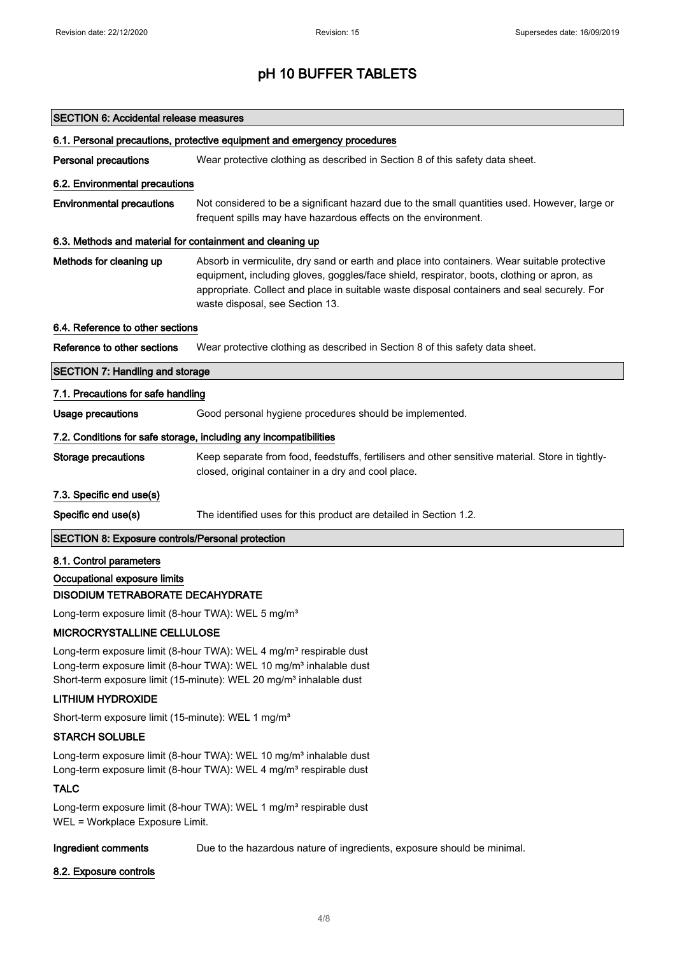| <b>SECTION 6: Accidental release measures</b>                            |                                                                                                                                                                                                                                                                                                                              |  |
|--------------------------------------------------------------------------|------------------------------------------------------------------------------------------------------------------------------------------------------------------------------------------------------------------------------------------------------------------------------------------------------------------------------|--|
| 6.1. Personal precautions, protective equipment and emergency procedures |                                                                                                                                                                                                                                                                                                                              |  |
| <b>Personal precautions</b>                                              | Wear protective clothing as described in Section 8 of this safety data sheet.                                                                                                                                                                                                                                                |  |
| 6.2. Environmental precautions                                           |                                                                                                                                                                                                                                                                                                                              |  |
| <b>Environmental precautions</b>                                         | Not considered to be a significant hazard due to the small quantities used. However, large or<br>frequent spills may have hazardous effects on the environment.                                                                                                                                                              |  |
| 6.3. Methods and material for containment and cleaning up                |                                                                                                                                                                                                                                                                                                                              |  |
| Methods for cleaning up                                                  | Absorb in vermiculite, dry sand or earth and place into containers. Wear suitable protective<br>equipment, including gloves, goggles/face shield, respirator, boots, clothing or apron, as<br>appropriate. Collect and place in suitable waste disposal containers and seal securely. For<br>waste disposal, see Section 13. |  |
| 6.4. Reference to other sections                                         |                                                                                                                                                                                                                                                                                                                              |  |
| Reference to other sections                                              | Wear protective clothing as described in Section 8 of this safety data sheet.                                                                                                                                                                                                                                                |  |
| <b>SECTION 7: Handling and storage</b>                                   |                                                                                                                                                                                                                                                                                                                              |  |
| 7.1. Precautions for safe handling                                       |                                                                                                                                                                                                                                                                                                                              |  |
| <b>Usage precautions</b>                                                 | Good personal hygiene procedures should be implemented.                                                                                                                                                                                                                                                                      |  |
|                                                                          | 7.2. Conditions for safe storage, including any incompatibilities                                                                                                                                                                                                                                                            |  |
| <b>Storage precautions</b>                                               | Keep separate from food, feedstuffs, fertilisers and other sensitive material. Store in tightly-<br>closed, original container in a dry and cool place.                                                                                                                                                                      |  |
| 7.3. Specific end use(s)                                                 |                                                                                                                                                                                                                                                                                                                              |  |
| Specific end use(s)                                                      | The identified uses for this product are detailed in Section 1.2.                                                                                                                                                                                                                                                            |  |
| <b>SECTION 8: Exposure controls/Personal protection</b>                  |                                                                                                                                                                                                                                                                                                                              |  |
| 8.1. Control parameters                                                  |                                                                                                                                                                                                                                                                                                                              |  |
| Occupational exposure limits                                             |                                                                                                                                                                                                                                                                                                                              |  |
| DISODIUM TETRABORATE DECAHYDRATE                                         |                                                                                                                                                                                                                                                                                                                              |  |
| Long-term exposure limit (8-hour TWA): WEL 5 mg/m <sup>3</sup>           |                                                                                                                                                                                                                                                                                                                              |  |

### MICROCRYSTALLINE CELLULOSE

Long-term exposure limit (8-hour TWA): WEL 4 mg/m<sup>3</sup> respirable dust Long-term exposure limit (8-hour TWA): WEL 10 mg/m<sup>3</sup> inhalable dust Short-term exposure limit (15-minute): WEL 20 mg/m<sup>3</sup> inhalable dust

### LITHIUM HYDROXIDE

Short-term exposure limit (15-minute): WEL 1 mg/m<sup>3</sup>

### STARCH SOLUBLE

Long-term exposure limit (8-hour TWA): WEL 10 mg/m<sup>3</sup> inhalable dust Long-term exposure limit (8-hour TWA): WEL 4 mg/m<sup>3</sup> respirable dust

## **TALC**

Long-term exposure limit (8-hour TWA): WEL 1 mg/m<sup>3</sup> respirable dust WEL = Workplace Exposure Limit.

### Ingredient comments Due to the hazardous nature of ingredients, exposure should be minimal.

#### 8.2. Exposure controls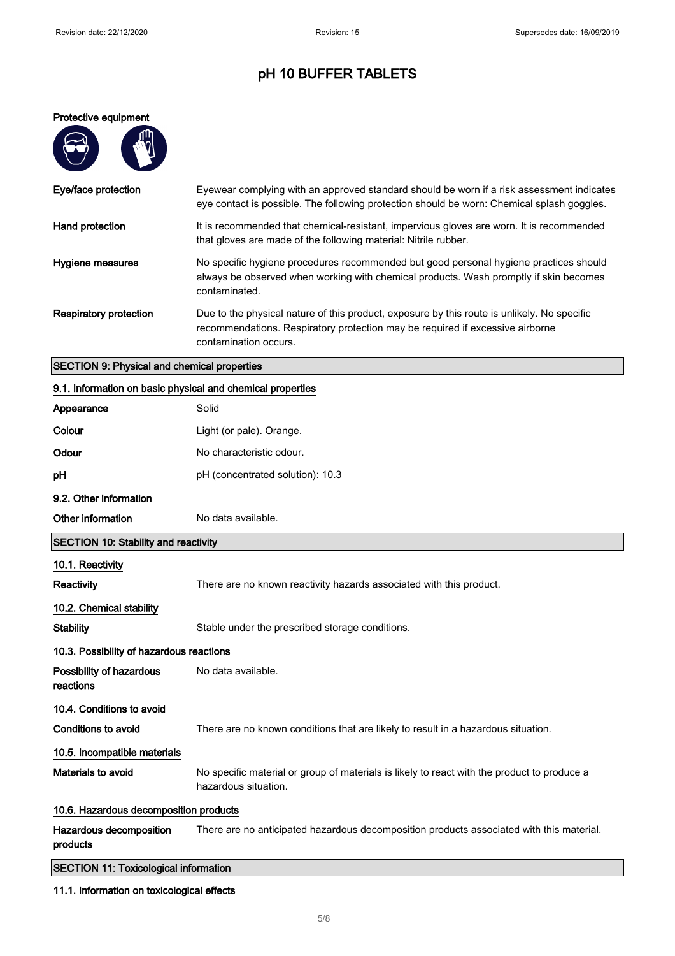#### Protective equipment

 $\mathbf{d}$ 

A

| Eye/face protection           | Eyewear complying with an approved standard should be worn if a risk assessment indicates<br>eye contact is possible. The following protection should be worn: Chemical splash goggles.               |
|-------------------------------|-------------------------------------------------------------------------------------------------------------------------------------------------------------------------------------------------------|
| Hand protection               | It is recommended that chemical-resistant, impervious gloves are worn. It is recommended<br>that gloves are made of the following material: Nitrile rubber.                                           |
| Hygiene measures              | No specific hygiene procedures recommended but good personal hygiene practices should<br>always be observed when working with chemical products. Wash promptly if skin becomes<br>contaminated.       |
| <b>Respiratory protection</b> | Due to the physical nature of this product, exposure by this route is unlikely. No specific<br>recommendations. Respiratory protection may be required if excessive airborne<br>contamination occurs. |

## SECTION 9: Physical and chemical properties

| 9.1. Information on basic physical and chemical properties |                                                                                                                     |  |
|------------------------------------------------------------|---------------------------------------------------------------------------------------------------------------------|--|
| Appearance                                                 | Solid                                                                                                               |  |
| Colour                                                     | Light (or pale). Orange.                                                                                            |  |
| Odour                                                      | No characteristic odour.                                                                                            |  |
| рH                                                         | pH (concentrated solution): 10.3                                                                                    |  |
| 9.2. Other information                                     |                                                                                                                     |  |
| Other information                                          | No data available.                                                                                                  |  |
| <b>SECTION 10: Stability and reactivity</b>                |                                                                                                                     |  |
| 10.1. Reactivity                                           |                                                                                                                     |  |
| Reactivity                                                 | There are no known reactivity hazards associated with this product.                                                 |  |
| 10.2. Chemical stability                                   |                                                                                                                     |  |
| <b>Stability</b>                                           | Stable under the prescribed storage conditions.                                                                     |  |
| 10.3. Possibility of hazardous reactions                   |                                                                                                                     |  |
| Possibility of hazardous<br>reactions                      | No data available.                                                                                                  |  |
| 10.4. Conditions to avoid                                  |                                                                                                                     |  |
| <b>Conditions to avoid</b>                                 | There are no known conditions that are likely to result in a hazardous situation.                                   |  |
| 10.5. Incompatible materials                               |                                                                                                                     |  |
| Materials to avoid                                         | No specific material or group of materials is likely to react with the product to produce a<br>hazardous situation. |  |
| 10.6. Hazardous decomposition products                     |                                                                                                                     |  |
| Hazardous decomposition<br>products                        | There are no anticipated hazardous decomposition products associated with this material.                            |  |
| <b>SECTION 11: Toxicological information</b>               |                                                                                                                     |  |

### 11.1. Information on toxicological effects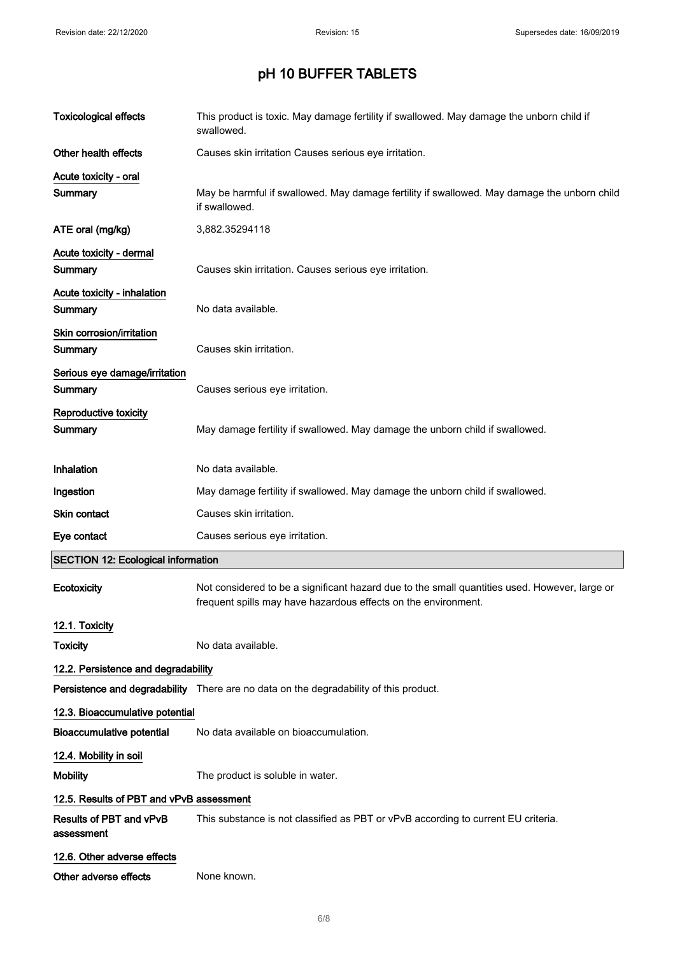| <b>Toxicological effects</b>                  | This product is toxic. May damage fertility if swallowed. May damage the unborn child if<br>swallowed.                                                          |
|-----------------------------------------------|-----------------------------------------------------------------------------------------------------------------------------------------------------------------|
| Other health effects                          | Causes skin irritation Causes serious eye irritation.                                                                                                           |
| Acute toxicity - oral                         |                                                                                                                                                                 |
| Summary                                       | May be harmful if swallowed. May damage fertility if swallowed. May damage the unborn child<br>if swallowed.                                                    |
| ATE oral (mg/kg)                              | 3,882.35294118                                                                                                                                                  |
| Acute toxicity - dermal<br>Summary            | Causes skin irritation. Causes serious eye irritation.                                                                                                          |
| Acute toxicity - inhalation<br><b>Summary</b> | No data available.                                                                                                                                              |
| Skin corrosion/irritation<br>Summary          | Causes skin irritation.                                                                                                                                         |
| Serious eye damage/irritation<br>Summary      | Causes serious eye irritation.                                                                                                                                  |
| Reproductive toxicity<br>Summary              | May damage fertility if swallowed. May damage the unborn child if swallowed.                                                                                    |
| Inhalation                                    | No data available.                                                                                                                                              |
| Ingestion                                     | May damage fertility if swallowed. May damage the unborn child if swallowed.                                                                                    |
| Skin contact                                  | Causes skin irritation.                                                                                                                                         |
| Eye contact                                   | Causes serious eye irritation.                                                                                                                                  |
| <b>SECTION 12: Ecological information</b>     |                                                                                                                                                                 |
| Ecotoxicity                                   | Not considered to be a significant hazard due to the small quantities used. However, large or<br>frequent spills may have hazardous effects on the environment. |
| 12.1. Toxicity                                |                                                                                                                                                                 |
| <b>Toxicity</b>                               | No data available.                                                                                                                                              |
| 12.2. Persistence and degradability           |                                                                                                                                                                 |
|                                               | Persistence and degradability There are no data on the degradability of this product.                                                                           |
| 12.3. Bioaccumulative potential               |                                                                                                                                                                 |
| <b>Bioaccumulative potential</b>              | No data available on bioaccumulation.                                                                                                                           |
| 12.4. Mobility in soil                        |                                                                                                                                                                 |
| <b>Mobility</b>                               | The product is soluble in water.                                                                                                                                |
| 12.5. Results of PBT and vPvB assessment      |                                                                                                                                                                 |
| Results of PBT and vPvB<br>assessment         | This substance is not classified as PBT or vPvB according to current EU criteria.                                                                               |
| 12.6. Other adverse effects                   |                                                                                                                                                                 |
| Other adverse effects                         | None known.                                                                                                                                                     |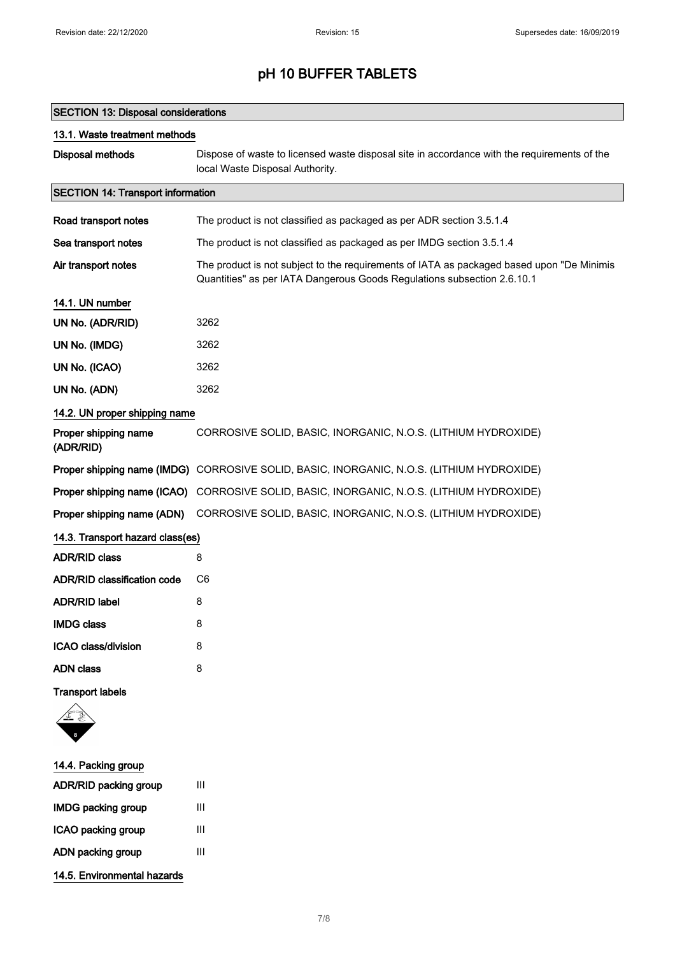### SECTION 13: Disposal considerations

| 13.1. Waste treatment methods            |                                                                                                                                                                       |  |
|------------------------------------------|-----------------------------------------------------------------------------------------------------------------------------------------------------------------------|--|
| <b>Disposal methods</b>                  | Dispose of waste to licensed waste disposal site in accordance with the requirements of the<br>local Waste Disposal Authority.                                        |  |
| <b>SECTION 14: Transport information</b> |                                                                                                                                                                       |  |
| Road transport notes                     | The product is not classified as packaged as per ADR section 3.5.1.4                                                                                                  |  |
| Sea transport notes                      | The product is not classified as packaged as per IMDG section 3.5.1.4                                                                                                 |  |
| Air transport notes                      | The product is not subject to the requirements of IATA as packaged based upon "De Minimis"<br>Quantities" as per IATA Dangerous Goods Regulations subsection 2.6.10.1 |  |
| 14.1. UN number                          |                                                                                                                                                                       |  |
| UN No. (ADR/RID)                         | 3262                                                                                                                                                                  |  |
| UN No. (IMDG)                            | 3262                                                                                                                                                                  |  |
| UN No. (ICAO)                            | 3262                                                                                                                                                                  |  |
| UN No. (ADN)                             | 3262                                                                                                                                                                  |  |
| 14.2. UN proper shipping name            |                                                                                                                                                                       |  |
| Proper shipping name<br>(ADR/RID)        | CORROSIVE SOLID, BASIC, INORGANIC, N.O.S. (LITHIUM HYDROXIDE)                                                                                                         |  |
|                                          | Proper shipping name (IMDG) CORROSIVE SOLID, BASIC, INORGANIC, N.O.S. (LITHIUM HYDROXIDE)                                                                             |  |
| Proper shipping name (ICAO)              | CORROSIVE SOLID, BASIC, INORGANIC, N.O.S. (LITHIUM HYDROXIDE)                                                                                                         |  |
| Proper shipping name (ADN)               | CORROSIVE SOLID, BASIC, INORGANIC, N.O.S. (LITHIUM HYDROXIDE)                                                                                                         |  |
| 14.3. Transport hazard class(es)         |                                                                                                                                                                       |  |
| <b>ADR/RID class</b>                     | 8                                                                                                                                                                     |  |
| <b>ADR/RID classification code</b>       | C <sub>6</sub>                                                                                                                                                        |  |
| <b>ADR/RID label</b>                     | 8                                                                                                                                                                     |  |
| <b>IMDG class</b>                        | 8                                                                                                                                                                     |  |
| ICAO class/division                      | 8                                                                                                                                                                     |  |
| <b>ADN</b> class                         | 8                                                                                                                                                                     |  |
| <b>Transport labels</b>                  |                                                                                                                                                                       |  |
|                                          |                                                                                                                                                                       |  |
| 14.4. Packing group                      |                                                                                                                                                                       |  |
| <b>ADR/RID packing group</b>             | Ш                                                                                                                                                                     |  |

- IMDG packing group III ICAO packing group III
- ADN packing group III
- 14.5. Environmental hazards